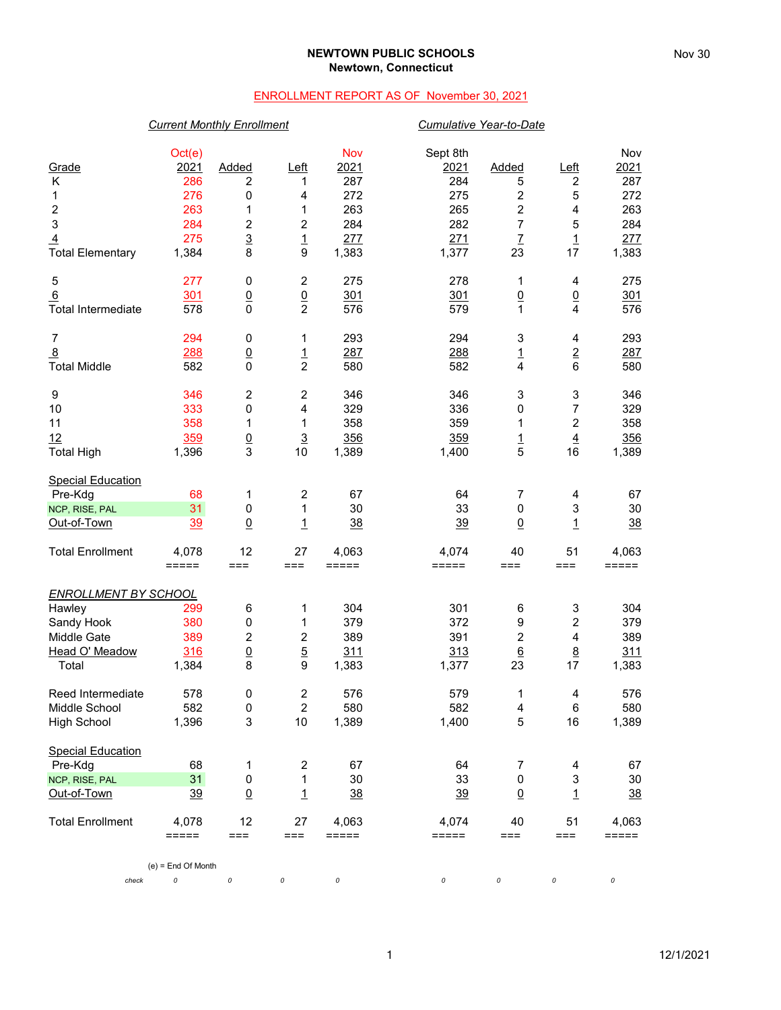### **NEWTOWN PUBLIC SCHOOLS Newtown, Connecticut**

### ENROLLMENT REPORT AS OF November 30, 2021

## *Current Monthly Enrollment Cumulative Year-to-Date*

| Grade<br>Κ<br>1<br>2<br>3<br>$\overline{4}$<br><b>Total Elementary</b>                        | Oct(e)<br>2021<br>286<br>276<br>263<br>284<br>275<br>1,384 | Added<br>2<br>0<br>1<br>2<br>$\overline{3}$<br>8 | $L$ eft<br>1<br>4<br>1<br>$\overline{c}$<br>$\overline{1}$<br>9 | Nov<br>2021<br>287<br>272<br>263<br>284<br>277<br>1,383 | Sept 8th<br>2021<br>284<br>275<br>265<br>282<br>271<br>1,377 | <b>Added</b><br>5<br>$\overline{\mathbf{c}}$<br>$\overline{c}$<br>7<br>$\overline{L}$<br>23 | $L$ eft<br>$\boldsymbol{2}$<br>5<br>4<br>5<br>$\overline{1}$<br>17 | Nov<br>2021<br>287<br>272<br>263<br>284<br>277<br>1,383 |
|-----------------------------------------------------------------------------------------------|------------------------------------------------------------|--------------------------------------------------|-----------------------------------------------------------------|---------------------------------------------------------|--------------------------------------------------------------|---------------------------------------------------------------------------------------------|--------------------------------------------------------------------|---------------------------------------------------------|
| 5<br>6<br><b>Total Intermediate</b>                                                           | 277<br>301<br>578                                          | 0<br>$\underline{0}$<br>$\mathbf 0$              | $\boldsymbol{2}$<br>$\frac{0}{2}$                               | 275<br>301<br>576                                       | 278<br>301<br>579                                            | 1<br>$\overline{0}$<br>$\mathbf{1}$                                                         | 4<br>$\underline{0}$<br>$\overline{4}$                             | 275<br>301<br>576                                       |
| $\overline{7}$<br>$\overline{8}$<br><b>Total Middle</b>                                       | 294<br>288<br>582                                          | 0<br>$\underline{0}$<br>$\mathbf{0}$             | 1<br>$\overline{1}$<br>$\overline{c}$                           | 293<br>287<br>580                                       | 294<br>288<br>582                                            | 3<br>$\overline{1}$<br>4                                                                    | 4<br>$\frac{2}{6}$                                                 | 293<br>287<br>580                                       |
| 9<br>10<br>11<br>12<br><b>Total High</b>                                                      | 346<br>333<br>358<br>359<br>1,396                          | $\overline{c}$<br>0<br>1<br>$\frac{0}{3}$        | $\boldsymbol{2}$<br>4<br>1<br>$\overline{3}$<br>10              | 346<br>329<br>358<br>356<br>1,389                       | 346<br>336<br>359<br>359<br>1,400                            | 3<br>0<br>1<br>$\frac{1}{5}$                                                                | 3<br>7<br>$\boldsymbol{2}$<br>$\overline{4}$<br>16                 | 346<br>329<br>358<br>356<br>1,389                       |
| <b>Special Education</b><br>Pre-Kdg<br>NCP, RISE, PAL<br>Out-of-Town                          | 68<br>31<br><u>39</u>                                      | 1<br>0<br>$\underline{0}$                        | 2<br>1<br>$\overline{1}$                                        | 67<br>30<br>38                                          | 64<br>33<br><u>39</u>                                        | 7<br>$\pmb{0}$<br>$\overline{0}$                                                            | 4<br>3<br>$\overline{1}$                                           | 67<br>30<br>38                                          |
| <b>Total Enrollment</b>                                                                       | 4,078<br>=====                                             | 12<br>$==$                                       | 27<br>===                                                       | 4,063<br>=====                                          | 4,074<br>=====                                               | 40<br>$==$                                                                                  | 51<br>$===$                                                        | 4,063<br>=====                                          |
| <b>ENROLLMENT BY SCHOOL</b><br>Hawley<br>Sandy Hook<br>Middle Gate<br>Head O' Meadow<br>Total | 299<br>380<br>389<br>316<br>1,384                          | 6<br>0<br>$\overline{c}$<br>$\underline{0}$<br>8 | 1<br>1<br>$\boldsymbol{2}$<br>$\overline{5}$<br>9               | 304<br>379<br>389<br>311<br>1,383                       | 301<br>372<br>391<br>313<br>1,377                            | $\,6$<br>9<br>$\boldsymbol{2}$<br>$6\phantom{1}$<br>23                                      | 3<br>2<br>4<br>$\underline{8}$<br>17                               | 304<br>379<br>389<br>311<br>1,383                       |
| Reed Intermediate<br>Middle School<br><b>High School</b>                                      | 578<br>582<br>1,396                                        | 0<br>0<br>3                                      | $\boldsymbol{2}$<br>$\overline{2}$<br>10                        | 576<br>580<br>1,389                                     | 579<br>582<br>1,400                                          | 1<br>4<br>$\mathbf 5$                                                                       | 4<br>6<br>16                                                       | 576<br>580<br>1,389                                     |
| <b>Special Education</b><br>Pre-Kdg<br>NCP, RISE, PAL<br>Out-of-Town                          | 68<br>31<br>39                                             | 1<br>$\pmb{0}$<br>$\underline{0}$                | $\overline{\mathbf{c}}$<br>$\mathbf{1}$<br>$\overline{1}$       | 67<br>30<br>$\frac{38}{5}$                              | 64<br>33<br>$\frac{39}{2}$                                   | 7<br>$\pmb{0}$<br>$\overline{0}$                                                            | 4<br>$\mathsf 3$<br>$\overline{1}$                                 | 67<br>30<br>$\frac{38}{5}$                              |
| <b>Total Enrollment</b>                                                                       | 4,078<br>=====<br>$(e)$ = End Of Month                     | 12<br>≕≕                                         | 27<br>===                                                       | 4,063<br>=====                                          | 4,074<br>$=====$                                             | 40<br>$==$                                                                                  | 51<br>===                                                          | 4,063<br>=====                                          |
| check                                                                                         | 0                                                          | $\it{O}$                                         | 0                                                               | 0                                                       | 0                                                            | 0                                                                                           | 0                                                                  | 0                                                       |